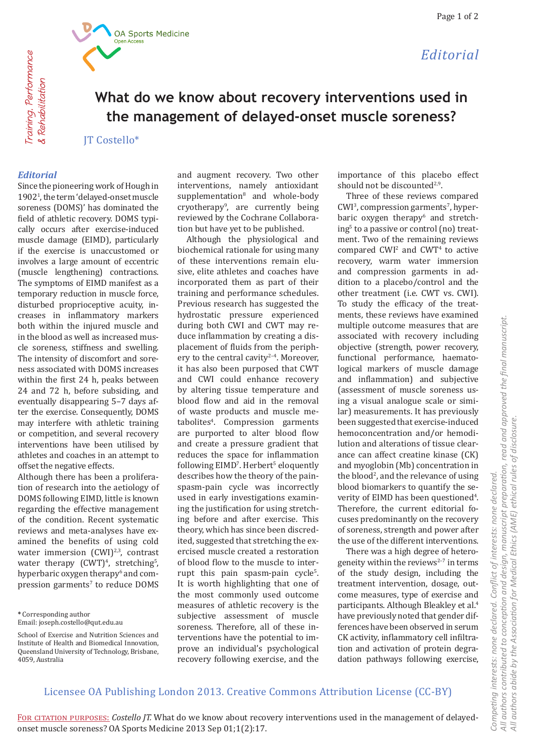*Editorial*



Training, Performance Training, Performance **& Rehabilitation** & Rehabilitation

# **What do we know about recovery interventions used in the management of delayed-onset muscle soreness?**

JT Costello\*

### *Editorial*

Since the pioneering work of Hough in 19021 , the term 'delayed-onset muscle soreness (DOMS)' has dominated the field of athletic recovery. DOMS typically occurs after exercise-induced muscle damage (EIMD), particularly if the exercise is unaccustomed or involves a large amount of eccentric (muscle lengthening) contractions. The symptoms of EIMD manifest as a temporary reduction in muscle force, disturbed proprioceptive acuity, increases in inflammatory markers both within the injured muscle and in the blood as well as increased muscle soreness, stiffness and swelling. The intensity of discomfort and soreness associated with DOMS increases within the first 24 h, peaks between 24 and 72 h, before subsiding, and eventually disappearing 5–7 days after the exercise. Consequently, DOMS may interfere with athletic training or competition, and several recovery interventions have been utilised by athletes and coaches in an attempt to offset the negative effects.

Although there has been a proliferation of research into the aetiology of DOMS following EIMD, little is known regarding the effective management of the condition. Recent systematic reviews and meta-analyses have examined the benefits of using cold water immersion  $(CWI)^{2,3}$ , contrast water therapy  $(CWT)^4$ , stretching<sup>5</sup>, hyperbaric oxygen therapy<sup>6</sup> and compression garments<sup>7</sup> to reduce DOMS

**\*** Corresponding author Email: joseph.costello@qut.edu.au

and augment recovery. Two other interventions, namely antioxidant supplementation<sup>8</sup> and whole-body cryotherapy9 , are currently being reviewed by the Cochrane Collaboration but have yet to be published.

Although the physiological and biochemical rationale for using many of these interventions remain elusive, elite athletes and coaches have incorporated them as part of their training and performance schedules. Previous research has suggested the hydrostatic pressure experienced during both CWI and CWT may reduce inflammation by creating a displacement of fluids from the periphery to the central cavity<sup>2-4</sup>. Moreover, it has also been purposed that CWT and CWI could enhance recovery by altering tissue temperature and blood flow and aid in the removal of waste products and muscle metabolites<sup>4</sup> . Compression garments are purported to alter blood flow and create a pressure gradient that reduces the space for inflammation following EIMD<sup>7</sup>. Herbert<sup>5</sup> eloquently describes how the theory of the painspasm-pain cycle was incorrectly used in early investigations examining the justification for using stretching before and after exercise. This theory, which has since been discredited, suggested that stretching the exercised muscle created a restoration of blood flow to the muscle to interrupt this pain spasm-pain cycle<sup>5</sup>. It is worth highlighting that one of the most commonly used outcome measures of athletic recovery is the subjective assessment of muscle soreness. Therefore, all of these interventions have the potential to improve an individual's psychological recovery following exercise, and the

importance of this placebo effect should not be discounted $2,9$ .

Three of these reviews compared  $CWI<sup>3</sup>$ , compression garments<sup>7</sup>, hyperbaric oxygen therapy<sup>6</sup> and stretching<sup>5</sup> to a passive or control (no) treatment. Two of the remaining reviews  $compared$  CWI<sup>2</sup> and CWT<sup>4</sup> to active recovery, warm water immersion and compression garments in addition to a placebo/control and the other treatment (i.e. CWT vs. CWI). To study the efficacy of the treatments, these reviews have examined multiple outcome measures that are associated with recovery including objective (strength, power recovery, functional performance, haematological markers of muscle damage and inflammation) and subjective (assessment of muscle soreness using a visual analogue scale or similar) measurements. It has previously been suggested that exercise-induced hemoconcentration and/or hemodilution and alterations of tissue clearance can affect creatine kinase (CK) and myoglobin (Mb) concentration in the blood<sup>2</sup>, and the relevance of using blood biomarkers to quantify the severity of EIMD has been questioned<sup>4</sup>. Therefore, the current editorial focuses predominantly on the recovery of soreness, strength and power after the use of the different interventions.

There was a high degree of heterogeneity within the reviews $2-7$  in terms of the study design, including the treatment intervention, dosage, outcome measures, type of exercise and participants. Although Bleakley et al.4 have previously noted that gender differences have been observed in serum CK activity, inflammatory cell infiltration and activation of protein degradation pathways following exercise,

### Licensee OA Publishing London 2013. Creative Commons Attribution License (CC-BY)

FOR CITATION PURPOSES: Costello JT. What do we know about recovery interventions used in the management of delayedonset muscle soreness? OA Sports Medicine 2013 Sep 01;1(2):17.

School of Exercise and Nutrition Sciences and Institute of Health and Biomedical Innovation, Queensland University of Technology, Brisbane, 4059, Australia